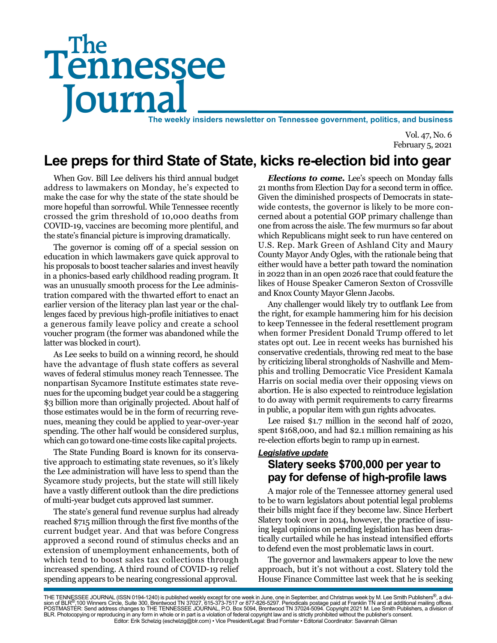# Tennessee **Journal** The weekly insiders newsletter on Tennessee government, politics, and business The

Vol. 47, No. 6 February 5, 2021

# **Lee preps for third State of State, kicks re-election bid into gear**

When Gov. Bill Lee delivers his third annual budget address to lawmakers on Monday, he's expected to make the case for why the state of the state should be more hopeful than sorrowful. While Tennessee recently crossed the grim threshold of 10,000 deaths from COVID-19, vaccines are becoming more plentiful, and the state's financial picture is improving dramatically.

The governor is coming off of a special session on education in which lawmakers gave quick approval to his proposals to boost teacher salaries and invest heavily in a phonics-based early childhood reading program. It was an unusually smooth process for the Lee administration compared with the thwarted effort to enact an earlier version of the literacy plan last year or the challenges faced by previous high-profile initiatives to enact a generous family leave policy and create a school voucher program (the former was abandoned while the latter was blocked in court).

As Lee seeks to build on a winning record, he should have the advantage of flush state coffers as several waves of federal stimulus money reach Tennessee. The nonpartisan Sycamore Institute estimates state revenues for the upcoming budget year could be a staggering \$3 billion more than originally projected. About half of those estimates would be in the form of recurring revenues, meaning they could be applied to year-over-year spending. The other half would be considered surplus, which can go toward one-time costs like capital projects.

The State Funding Board is known for its conservative approach to estimating state revenues, so it's likely the Lee administration will have less to spend than the Sycamore study projects, but the state will still likely have a vastly different outlook than the dire predictions of multi-year budget cuts approved last summer.

The state's general fund revenue surplus had already reached \$715 million through the first five months of the current budget year. And that was before Congress approved a second round of stimulus checks and an extension of unemployment enhancements, both of which tend to boost sales tax collections through increased spending. A third round of COVID-19 relief spending appears to be nearing congressional approval.

*Elections to come.* Lee's speech on Monday falls 21 months from Election Day for a second term in office. Given the diminished prospects of Democrats in statewide contests, the governor is likely to be more concerned about a potential GOP primary challenge than one from across the aisle. The few murmurs so far about which Republicans might seek to run have centered on U.S. Rep. Mark Green of Ashland City and Maury County Mayor Andy Ogles, with the rationale being that either would have a better path toward the nomination in 2022 than in an open 2026 race that could feature the likes of House Speaker Cameron Sexton of Crossville and Knox County Mayor Glenn Jacobs.

Any challenger would likely try to outflank Lee from the right, for example hammering him for his decision to keep Tennessee in the federal resettlement program when former President Donald Trump offered to let states opt out. Lee in recent weeks has burnished his conservative credentials, throwing red meat to the base by criticizing liberal strongholds of Nashville and Memphis and trolling Democratic Vice President Kamala Harris on social media over their opposing views on abortion. He is also expected to reintroduce legislation to do away with permit requirements to carry firearms in public, a popular item with gun rights advocates.

Lee raised \$1.7 million in the second half of 2020, spent \$168,000, and had \$2.1 million remaining as his re-election efforts begin to ramp up in earnest.

#### *Legislative update* **Slatery seeks \$700,000 per year to pay for defense of high-profile laws**

A major role of the Tennessee attorney general used to be to warn legislators about potential legal problems their bills might face if they become law. Since Herbert Slatery took over in 2014, however, the practice of issuing legal opinions on pending legislation has been drastically curtailed while he has instead intensified efforts to defend even the most problematic laws in court.

The governor and lawmakers appear to love the new approach, but it's not without a cost. Slatery told the House Finance Committee last week that he is seeking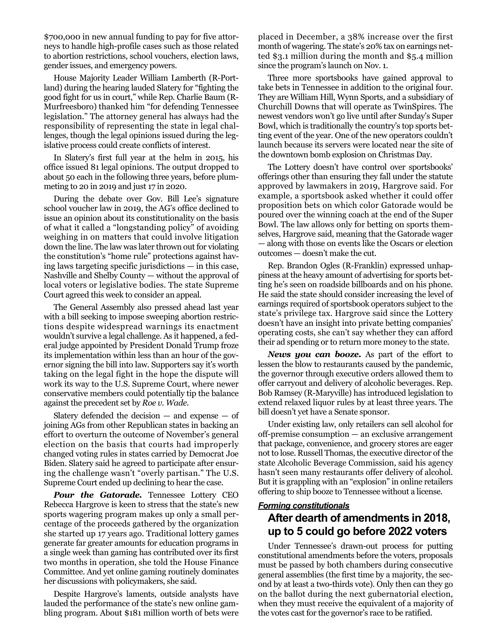\$700,000 in new annual funding to pay for five attorneys to handle high-profile cases such as those related to abortion restrictions, school vouchers, election laws, gender issues, and emergency powers.

House Majority Leader William Lamberth (R-Portland) during the hearing lauded Slatery for "fighting the good fight for us in court," while Rep. Charlie Baum (R-Murfreesboro) thanked him "for defending Tennessee legislation." The attorney general has always had the responsibility of representing the state in legal challenges, though the legal opinions issued during the legislative process could create conflicts of interest.

In Slatery's first full year at the helm in 2015, his office issued 81 legal opinions. The output dropped to about 50 each in the following three years, before plummeting to 20 in 2019 and just 17 in 2020.

During the debate over Gov. Bill Lee's signature school voucher law in 2019, the AG's office declined to issue an opinion about its constitutionality on the basis of what it called a "longstanding policy" of avoiding weighing in on matters that could involve litigation down the line. The law was later thrown out for violating the constitution's "home rule" protections against having laws targeting specific jurisdictions — in this case, Nashville and Shelby County — without the approval of local voters or legislative bodies. The state Supreme Court agreed this week to consider an appeal.

The General Assembly also pressed ahead last year with a bill seeking to impose sweeping abortion restrictions despite widespread warnings its enactment wouldn't survive a legal challenge. As it happened, a federal judge appointed by President Donald Trump froze its implementation within less than an hour of the governor signing the bill into law. Supporters say it's worth taking on the legal fight in the hope the dispute will work its way to the U.S. Supreme Court, where newer conservative members could potentially tip the balance against the precedent set by *Roe v. Wade.*

Slatery defended the decision  $-$  and expense  $-$  of joining AGs from other Republican states in backing an effort to overturn the outcome of November's general election on the basis that courts had improperly changed voting rules in states carried by Democrat Joe Biden. Slatery said he agreed to participate after ensuring the challenge wasn't "overly partisan." The U.S. Supreme Court ended up declining to hear the case.

**Pour the Gatorade.** Tennessee Lottery CEO Rebecca Hargrove is keen to stress that the state's new sports wagering program makes up only a small percentage of the proceeds gathered by the organization she started up 17 years ago. Traditional lottery games generate far greater amounts for education programs in a single week than gaming has contributed over its first two months in operation, she told the House Finance Committee. And yet online gaming routinely dominates her discussions with policymakers, she said.

Despite Hargrove's laments, outside analysts have lauded the performance of the state's new online gambling program. About \$181 million worth of bets were placed in December, a 38% increase over the first month of wagering. The state's 20% tax on earnings netted \$3.1 million during the month and \$5.4 million since the program's launch on Nov. 1.

Three more sportsbooks have gained approval to take bets in Tennessee in addition to the original four. They are William Hill, Wynn Sports, and a subsidiary of Churchill Downs that will operate as TwinSpires. The newest vendors won't go live until after Sunday's Super Bowl, which is traditionally the country's top sports betting event of the year. One of the new operators couldn't launch because its servers were located near the site of the downtown bomb explosion on Christmas Day.

The Lottery doesn't have control over sportsbooks' offerings other than ensuring they fall under the statute approved by lawmakers in 2019, Hargrove said. For example, a sportsbook asked whether it could offer proposition bets on which color Gatorade would be poured over the winning coach at the end of the Super Bowl. The law allows only for betting on sports themselves, Hargrove said, meaning that the Gatorade wager — along with those on events like the Oscars or election outcomes — doesn't make the cut.

Rep. Brandon Ogles (R-Franklin) expressed unhappiness at the heavy amount of advertising for sports betting he's seen on roadside billboards and on his phone. He said the state should consider increasing the level of earnings required of sportsbook operators subject to the state's privilege tax. Hargrove said since the Lottery doesn't have an insight into private betting companies' operating costs, she can't say whether they can afford their ad spending or to return more money to the state.

*News you can booze.* As part of the effort to lessen the blow to restaurants caused by the pandemic, the governor through executive orders allowed them to offer carryout and delivery of alcoholic beverages. Rep. Bob Ramsey (R-Maryville) has introduced legislation to extend relaxed liquor rules by at least three years. The bill doesn't yet have a Senate sponsor.

Under existing law, only retailers can sell alcohol for off-premise consumption — an exclusive arrangement that package, convenience, and grocery stores are eager not to lose. Russell Thomas, the executive director of the state Alcoholic Beverage Commission, said his agency hasn't seen many restaurants offer delivery of alcohol. But it is grappling with an "explosion" in online retailers offering to ship booze to Tennessee without a license.

#### *Forming constitutionals* **After dearth of amendments in 2018, up to 5 could go before 2022 voters**

Under Tennessee's drawn-out process for putting constitutional amendments before the voters, proposals must be passed by both chambers during consecutive general assemblies (the first time by a majority, the second by at least a two-thirds vote). Only then can they go on the ballot during the next gubernatorial election, when they must receive the equivalent of a majority of the votes cast for the governor's race to be ratified.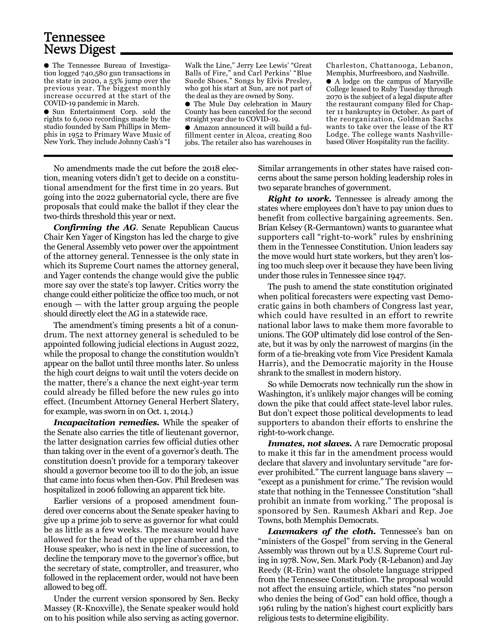## Tennessee News Digest

● The Tennessee Bureau of Investigation logged 740,580 gun transactions in the state in 2020, a 53% jump over the previous year. The biggest monthly increase occurred at the start of the COVID-19 pandemic in March.

● Sun Entertainment Corp. sold the rights to 6,000 recordings made by the studio founded by Sam Phillips in Memphis in 1952 to Primary Wave Music of New York. They include Johnny Cash's "I

Walk the Line," Jerry Lee Lewis' "Great Balls of Fire," and Carl Perkins' "Blue Suede Shoes." Songs by Elvis Presley, who got his start at Sun, are not part of the deal as they are owned by Sony.

● The Mule Day celebration in Maury County has been canceled for the second straight year due to COVID-19.

Amazon announced it will build a fulfillment center in Alcoa, creating 800 jobs. The retailer also has warehouses in

Charleston, Chattanooga, Lebanon, Memphis, Murfreesboro, and Nashville.

● A lodge on the campus of Maryville College leased to Ruby Tuesday through 2070 is the subject of a legal dispute after the restaurant company filed for Chapter 11 bankruptcy in October. As part of the reorganization, Goldman Sachs wants to take over the lease of the RT Lodge. The college wants Nashvillebased Oliver Hospitality run the facility.

No amendments made the cut before the 2018 election, meaning voters didn't get to decide on a constitutional amendment for the first time in 20 years. But going into the 2022 gubernatorial cycle, there are five proposals that could make the ballot if they clear the two-thirds threshold this year or next.

*Confirming the AG*. Senate Republican Caucus Chair Ken Yager of Kingston has led the charge to give the General Assembly veto power over the appointment of the attorney general. Tennessee is the only state in which its Supreme Court names the attorney general, and Yager contends the change would give the public more say over the state's top lawyer. Critics worry the change could either politicize the office too much, or not enough — with the latter group arguing the people should directly elect the AG in a statewide race.

The amendment's timing presents a bit of a conundrum. The next attorney general is scheduled to be appointed following judicial elections in August 2022, while the proposal to change the constitution wouldn't appear on the ballot until three months later. So unless the high court deigns to wait until the voters decide on the matter, there's a chance the next eight-year term could already be filled before the new rules go into effect. (Incumbent Attorney General Herbert Slatery, for example, was sworn in on Oct. 1, 2014.)

*Incapacitation remedies.* While the speaker of the Senate also carries the title of lieutenant governor, the latter designation carries few official duties other than taking over in the event of a governor's death. The constitution doesn't provide for a temporary takeover should a governor become too ill to do the job, an issue that came into focus when then-Gov. Phil Bredesen was hospitalized in 2006 following an apparent tick bite.

Earlier versions of a proposed amendment foundered over concerns about the Senate speaker having to give up a prime job to serve as governor for what could be as little as a few weeks. The measure would have allowed for the head of the upper chamber and the House speaker, who is next in the line of succession, to decline the temporary move to the governor's office, but the secretary of state, comptroller, and treasurer, who followed in the replacement order, would not have been allowed to beg off.

Under the current version sponsored by Sen. Becky Massey (R-Knoxville), the Senate speaker would hold on to his position while also serving as acting governor.

Similar arrangements in other states have raised concerns about the same person holding leadership roles in two separate branches of government.

*Right to work.* Tennessee is already among the states where employees don't have to pay union dues to benefit from collective bargaining agreements. Sen. Brian Kelsey (R-Germantown) wants to guarantee what supporters call "right-to-work" rules by enshrining them in the Tennessee Constitution. Union leaders say the move would hurt state workers, but they aren't losing too much sleep over it because they have been living under those rules in Tennessee since 1947.

The push to amend the state constitution originated when political forecasters were expecting vast Democratic gains in both chambers of Congress last year, which could have resulted in an effort to rewrite national labor laws to make them more favorable to unions. The GOP ultimately did lose control of the Senate, but it was by only the narrowest of margins (in the form of a tie-breaking vote from Vice President Kamala Harris), and the Democratic majority in the House shrank to the smallest in modern history.

So while Democrats now technically run the show in Washington, it's unlikely major changes will be coming down the pike that could affect state-level labor rules. But don't expect those political developments to lead supporters to abandon their efforts to enshrine the right-to-work change.

*Inmates, not slaves.* A rare Democratic proposal to make it this far in the amendment process would declare that slavery and involuntary servitude "are forever prohibited." The current language bans slavery — "except as a punishment for crime." The revision would state that nothing in the Tennessee Constitution "shall prohibit an inmate from working." The proposal is sponsored by Sen. Raumesh Akbari and Rep. Joe Towns, both Memphis Democrats.

Lawmakers of the cloth. Tennessee's ban on "ministers of the Gospel" from serving in the General Assembly was thrown out by a U.S. Supreme Court ruling in 1978. Now, Sen. Mark Pody (R-Lebanon) and Jay Reedy (R-Erin) want the obsolete language stripped from the Tennessee Constitution. The proposal would not affect the ensuing article, which states "no person who denies the being of God" can hold office, though a 1961 ruling by the nation's highest court explicitly bars religious tests to determine eligibility.